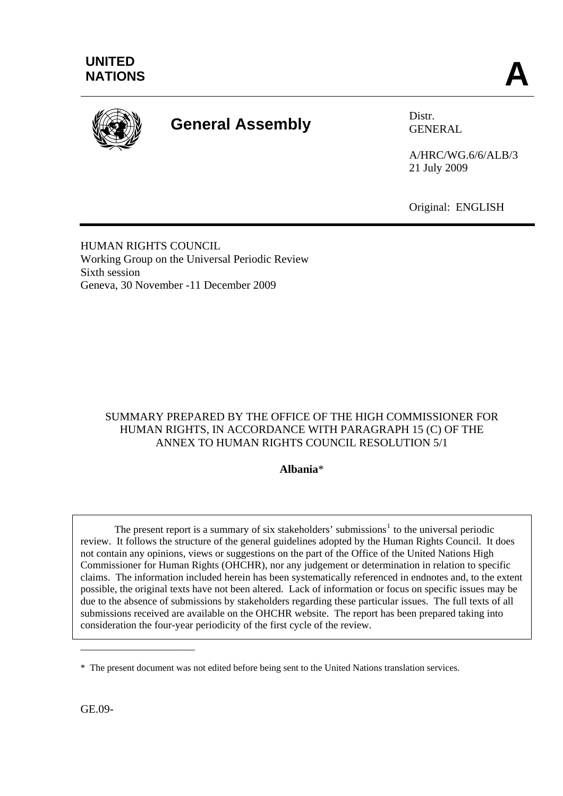

# **General Assembly** Distr.

GENERAL

A/HRC/WG.6/6/ALB/3 21 July 2009

Original: ENGLISH

HUMAN RIGHTS COUNCIL Working Group on the Universal Periodic Review Sixth session Geneva, 30 November -11 December 2009

## SUMMARY PREPARED BY THE OFFICE OF THE HIGH COMMISSIONER FOR HUMAN RIGHTS, IN ACCORDANCE WITH PARAGRAPH 15 (C) OF THE ANNEX TO HUMAN RIGHTS COUNCIL RESOLUTION 5/1

#### **Albania**\*

The present report is a summary of six stakeholders' submissions<sup>[1](#page-8-0)</sup> to the universal periodic review. It follows the structure of the general guidelines adopted by the Human Rights Council. It does not contain any opinions, views or suggestions on the part of the Office of the United Nations High Commissioner for Human Rights (OHCHR), nor any judgement or determination in relation to specific claims. The information included herein has been systematically referenced in endnotes and, to the extent possible, the original texts have not been altered. Lack of information or focus on specific issues may be due to the absence of submissions by stakeholders regarding these particular issues. The full texts of all submissions received are available on the OHCHR website. The report has been prepared taking into consideration the four-year periodicity of the first cycle of the review.

GE.09-

\_\_\_\_\_\_\_\_\_\_\_\_\_\_\_\_\_\_\_\_\_\_

<sup>\*</sup> The present document was not edited before being sent to the United Nations translation services.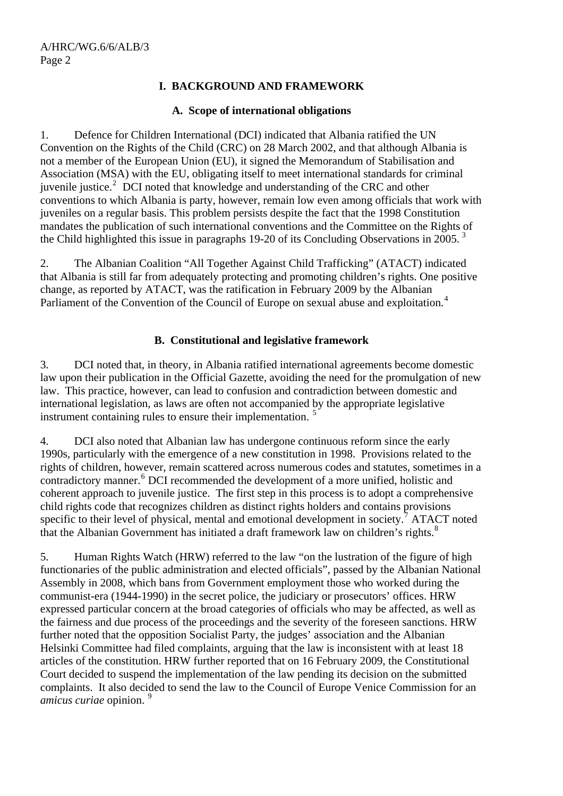## **I. BACKGROUND AND FRAMEWORK**

#### **A. Scope of international obligations**

1. Defence for Children International (DCI) indicated that Albania ratified the UN Convention on the Rights of the Child (CRC) on 28 March 2002, and that although Albania is not a member of the European Union (EU), it signed the Memorandum of Stabilisation and Association (MSA) with the EU, obligating itself to meet international standards for criminal juvenile justice.<sup>[2](#page-8-1)</sup> DCI noted that knowledge and understanding of the CRC and other conventions to which Albania is party, however, remain low even among officials that work with juveniles on a regular basis. This problem persists despite the fact that the 1998 Constitution mandates the publication of such international conventions and the Committee on the Rights of the Child highlighted this issue in paragraphs 19-20 of its Concluding Observations in 2005.<sup>[3](#page-8-1)</sup>

2. The Albanian Coalition "All Together Against Child Trafficking" (ATACT) indicated that Albania is still far from adequately protecting and promoting children's rights. One positive change, as reported by ATACT, was the ratification in February 2009 by the Albanian Parliament of the Convention of the Council of Europe on sexual abuse and exploitation.<sup>[4](#page-8-1)</sup>

## **B. Constitutional and legislative framework**

3. DCI noted that, in theory, in Albania ratified international agreements become domestic law upon their publication in the Official Gazette, avoiding the need for the promulgation of new law. This practice, however, can lead to confusion and contradiction between domestic and international legislation, as laws are often not accompanied by the appropriate legislative instrument containing rules to ensure their implementation.<sup>[5](#page-8-1)</sup>

4. DCI also noted that Albanian law has undergone continuous reform since the early 1990s, particularly with the emergence of a new constitution in 1998. Provisions related to the rights of children, however, remain scattered across numerous codes and statutes, sometimes in a contradictory manner.<sup>[6](#page-8-1)</sup> DCI recommended the development of a more unified, holistic and coherent approach to juvenile justice. The first step in this process is to adopt a comprehensive child rights code that recognizes children as distinct rights holders and contains provisions specific to their level of physical, mental and emotional development in society.<sup>[7](#page-8-1)</sup> ATACT noted that the Albanian Government has initiated a draft framework law on children's rights.<sup>[8](#page-8-1)</sup>

5. Human Rights Watch (HRW) referred to the law "on the lustration of the figure of high functionaries of the public administration and elected officials", passed by the Albanian National Assembly in 2008, which bans from Government employment those who worked during the communist-era (1944-1990) in the secret police, the judiciary or prosecutors' offices. HRW expressed particular concern at the broad categories of officials who may be affected, as well as the fairness and due process of the proceedings and the severity of the foreseen sanctions. HRW further noted that the opposition Socialist Party, the judges' association and the Albanian Helsinki Committee had filed complaints, arguing that the law is inconsistent with at least 18 articles of the constitution. HRW further reported that on 16 February 2009, the Constitutional Court decided to suspend the implementation of the law pending its decision on the submitted complaints. It also decided to send the law to the Council of Europe Venice Commission for an *amicus curiae* opinion. [9](#page-8-1)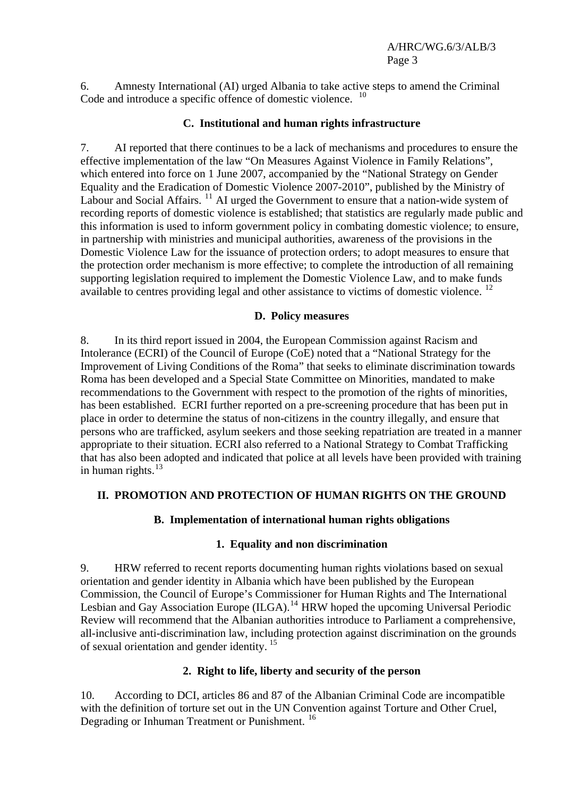6. Amnesty International (AI) urged Albania to take active steps to amend the Criminal Code and introduce a specific offence of domestic violence. <sup>[10](#page-8-1)</sup>

#### **C. Institutional and human rights infrastructure**

7. AI reported that there continues to be a lack of mechanisms and procedures to ensure the effective implementation of the law "On Measures Against Violence in Family Relations", which entered into force on 1 June 2007, accompanied by the "National Strategy on Gender Equality and the Eradication of Domestic Violence 2007-2010", published by the Ministry of Labour and Social Affairs. [11](#page-8-1) AI urged the Government to ensure that a nation-wide system of recording reports of domestic violence is established; that statistics are regularly made public and this information is used to inform government policy in combating domestic violence; to ensure, in partnership with ministries and municipal authorities, awareness of the provisions in the Domestic Violence Law for the issuance of protection orders; to adopt measures to ensure that the protection order mechanism is more effective; to complete the introduction of all remaining supporting legislation required to implement the Domestic Violence Law, and to make funds available to centres providing legal and other assistance to victims of domestic violence.  $12$ 

## **D. Policy measures**

8. In its third report issued in 2004, the European Commission against Racism and Intolerance (ECRI) of the Council of Europe (CoE) noted that a "National Strategy for the Improvement of Living Conditions of the Roma" that seeks to eliminate discrimination towards Roma has been developed and a Special State Committee on Minorities, mandated to make recommendations to the Government with respect to the promotion of the rights of minorities, has been established. ECRI further reported on a pre-screening procedure that has been put in place in order to determine the status of non-citizens in the country illegally, and ensure that persons who are trafficked, asylum seekers and those seeking repatriation are treated in a manner appropriate to their situation. ECRI also referred to a National Strategy to Combat Trafficking that has also been adopted and indicated that police at all levels have been provided with training in human rights. $^{13}$  $^{13}$  $^{13}$ 

# **II. PROMOTION AND PROTECTION OF HUMAN RIGHTS ON THE GROUND**

# **B. Implementation of international human rights obligations**

# **1. Equality and non discrimination**

9. HRW referred to recent reports documenting human rights violations based on sexual orientation and gender identity in Albania which have been published by the European Commission, the Council of Europe's Commissioner for Human Rights and The International Lesbian and Gay Association Europe  $(ILGA)$ <sup>[14](#page-8-1)</sup> HRW hoped the upcoming Universal Periodic Review will recommend that the Albanian authorities introduce to Parliament a comprehensive, all-inclusive anti-discrimination law, including protection against discrimination on the grounds of sexual orientation and gender identity. [15](#page-8-1)

# **2. Right to life, liberty and security of the person**

10. According to DCI, articles 86 and 87 of the Albanian Criminal Code are incompatible with the definition of torture set out in the UN Convention against Torture and Other Cruel, Degrading or Inhuman Treatment or Punishment.<sup>[16](#page-8-1)</sup>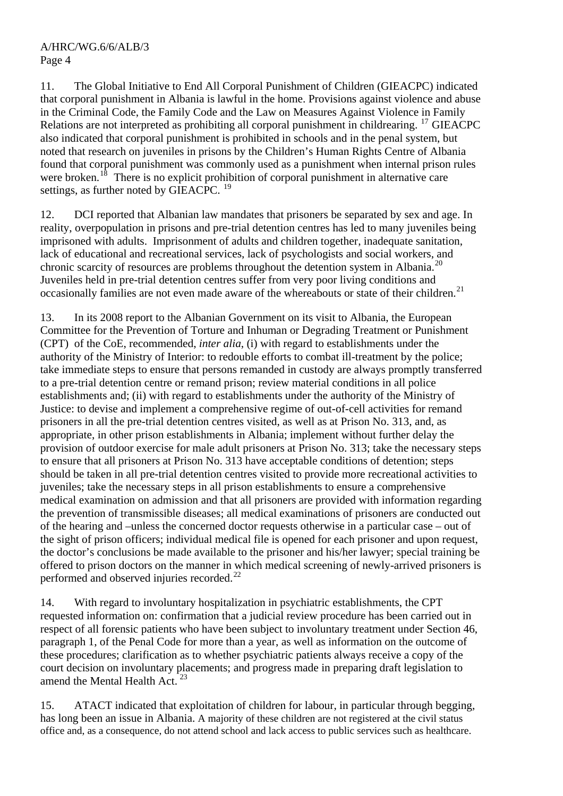11. The Global Initiative to End All Corporal Punishment of Children (GIEACPC) indicated that corporal punishment in Albania is lawful in the home. Provisions against violence and abuse in the Criminal Code, the Family Code and the Law on Measures Against Violence in Family Relations are not interpreted as prohibiting all corporal punishment in childrearing. <sup>[17](#page-8-1)</sup> GIEACPC also indicated that corporal punishment is prohibited in schools and in the penal system, but noted that research on juveniles in prisons by the Children's Human Rights Centre of Albania found that corporal punishment was commonly used as a punishment when internal prison rules were broken.<sup>[18](#page-8-1)</sup> There is no explicit prohibition of corporal punishment in alternative care settings, as further noted by GIEACPC.<sup>[19](#page-8-1)</sup>

12. DCI reported that Albanian law mandates that prisoners be separated by sex and age. In reality, overpopulation in prisons and pre-trial detention centres has led to many juveniles being imprisoned with adults. Imprisonment of adults and children together, inadequate sanitation, lack of educational and recreational services, lack of psychologists and social workers, and chronic scarcity of resources are problems throughout the detention system in Albania.<sup>[20](#page-8-1)</sup> Juveniles held in pre-trial detention centres suffer from very poor living conditions and occasionally families are not even made aware of the whereabouts or state of their children.<sup>[21](#page-8-1)</sup>

13. In its 2008 report to the Albanian Government on its visit to Albania, the European Committee for the Prevention of Torture and Inhuman or Degrading Treatment or Punishment (CPT) of the CoE, recommended, *inter alia*, (i) with regard to establishments under the authority of the Ministry of Interior: to redouble efforts to combat ill-treatment by the police; take immediate steps to ensure that persons remanded in custody are always promptly transferred to a pre-trial detention centre or remand prison; review material conditions in all police establishments and; (ii) with regard to establishments under the authority of the Ministry of Justice: to devise and implement a comprehensive regime of out-of-cell activities for remand prisoners in all the pre-trial detention centres visited, as well as at Prison No. 313, and, as appropriate, in other prison establishments in Albania; implement without further delay the provision of outdoor exercise for male adult prisoners at Prison No. 313; take the necessary steps to ensure that all prisoners at Prison No. 313 have acceptable conditions of detention; steps should be taken in all pre-trial detention centres visited to provide more recreational activities to juveniles; take the necessary steps in all prison establishments to ensure a comprehensive medical examination on admission and that all prisoners are provided with information regarding the prevention of transmissible diseases; all medical examinations of prisoners are conducted out of the hearing and –unless the concerned doctor requests otherwise in a particular case – out of the sight of prison officers; individual medical file is opened for each prisoner and upon request, the doctor's conclusions be made available to the prisoner and his/her lawyer; special training be offered to prison doctors on the manner in which medical screening of newly-arrived prisoners is performed and observed injuries recorded.[22](#page-8-1)

14. With regard to involuntary hospitalization in psychiatric establishments, the CPT requested information on: confirmation that a judicial review procedure has been carried out in respect of all forensic patients who have been subject to involuntary treatment under Section 46, paragraph 1, of the Penal Code for more than a year, as well as information on the outcome of these procedures; clarification as to whether psychiatric patients always receive a copy of the court decision on involuntary placements; and progress made in preparing draft legislation to amend the Mental Health Act.<sup>[23](#page-8-1)</sup>

15. ATACT indicated that exploitation of children for labour, in particular through begging, has long been an issue in Albania. A majority of these children are not registered at the civil status office and, as a consequence, do not attend school and lack access to public services such as healthcare.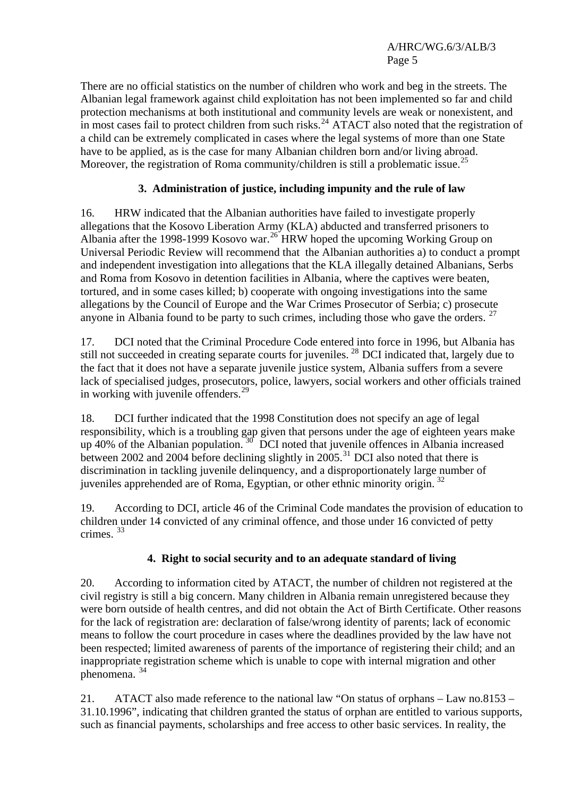There are no official statistics on the number of children who work and beg in the streets. The Albanian legal framework against child exploitation has not been implemented so far and child protection mechanisms at both institutional and community levels are weak or nonexistent, and in most cases fail to protect children from such risks.<sup>[24](#page-8-1)</sup> ATACT also noted that the registration of a child can be extremely complicated in cases where the legal systems of more than one State have to be applied, as is the case for many Albanian children born and/or living abroad. Moreover, the registration of Roma community/children is still a problematic issue.<sup>[25](#page-8-1)</sup>

# **3. Administration of justice, including impunity and the rule of law**

16. HRW indicated that the Albanian authorities have failed to investigate properly allegations that the Kosovo Liberation Army (KLA) abducted and transferred prisoners to Albania after the 1998-1999 Kosovo war.[26](#page-8-1) HRW hoped the upcoming Working Group on Universal Periodic Review will recommend that the Albanian authorities a) to conduct a prompt and independent investigation into allegations that the KLA illegally detained Albanians, Serbs and Roma from Kosovo in detention facilities in Albania, where the captives were beaten, tortured, and in some cases killed; b) cooperate with ongoing investigations into the same allegations by the Council of Europe and the War Crimes Prosecutor of Serbia; c) prosecute anyone in Albania found to be party to such crimes, including those who gave the orders.  $27$ 

17. DCI noted that the Criminal Procedure Code entered into force in 1996, but Albania has still not succeeded in creating separate courts for juveniles.<sup>[28](#page-8-1)</sup> DCI indicated that, largely due to the fact that it does not have a separate juvenile justice system, Albania suffers from a severe lack of specialised judges, prosecutors, police, lawyers, social workers and other officials trained in working with juvenile offenders.<sup>[29](#page-8-1)</sup>

18. DCI further indicated that the 1998 Constitution does not specify an age of legal responsibility, which is a troubling gap given that persons under the age of eighteen years make up 40% of the Albanian population.  $30^{3}$  $30^{3}$  DCI noted that juvenile offences in Albania increased between 2002 and 2004 before declining slightly in  $2005$ .<sup>[31](#page-8-1)</sup> DCI also noted that there is discrimination in tackling juvenile delinquency, and a disproportionately large number of juveniles apprehended are of Roma, Egyptian, or other ethnic minority origin. [32](#page-8-1)

19. According to DCI, article 46 of the Criminal Code mandates the provision of education to children under 14 convicted of any criminal offence, and those under 16 convicted of petty crimes. [33](#page-8-1)

# **4. Right to social security and to an adequate standard of living**

20. According to information cited by ATACT, the number of children not registered at the civil registry is still a big concern. Many children in Albania remain unregistered because they were born outside of health centres, and did not obtain the Act of Birth Certificate. Other reasons for the lack of registration are: declaration of false/wrong identity of parents; lack of economic means to follow the court procedure in cases where the deadlines provided by the law have not been respected; limited awareness of parents of the importance of registering their child; and an inappropriate registration scheme which is unable to cope with internal migration and other phenomena. [34](#page-8-1)

21. ATACT also made reference to the national law "On status of orphans – Law no.8153 – 31.10.1996", indicating that children granted the status of orphan are entitled to various supports, such as financial payments, scholarships and free access to other basic services. In reality, the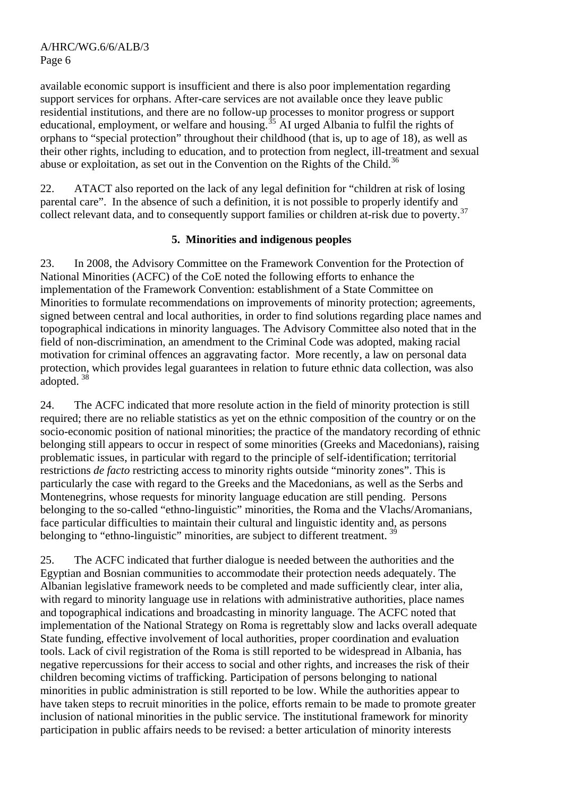available economic support is insufficient and there is also poor implementation regarding support services for orphans. After-care services are not available once they leave public residential institutions, and there are no follow-up processes to monitor progress or support educational, employment, or welfare and housing.<sup> $\frac{35}{25}$  $\frac{35}{25}$  $\frac{35}{25}$ </sup> AI urged Albania to fulfil the rights of orphans to "special protection" throughout their childhood (that is, up to age of 18), as well as their other rights, including to education, and to protection from neglect, ill-treatment and sexual abuse or exploitation, as set out in the Convention on the Rights of the Child.<sup>[36](#page-8-1)</sup>

22. ATACT also reported on the lack of any legal definition for "children at risk of losing parental care". In the absence of such a definition, it is not possible to properly identify and collect relevant data, and to consequently support families or children at-risk due to poverty.<sup>[37](#page-8-1)</sup>

## **5. Minorities and indigenous peoples**

23. In 2008, the Advisory Committee on the Framework Convention for the Protection of National Minorities (ACFC) of the CoE noted the following efforts to enhance the implementation of the Framework Convention: establishment of a State Committee on Minorities to formulate recommendations on improvements of minority protection; agreements, signed between central and local authorities, in order to find solutions regarding place names and topographical indications in minority languages. The Advisory Committee also noted that in the field of non-discrimination, an amendment to the Criminal Code was adopted, making racial motivation for criminal offences an aggravating factor. More recently, a law on personal data protection, which provides legal guarantees in relation to future ethnic data collection, was also adopted. [38](#page-8-1)

24. The ACFC indicated that more resolute action in the field of minority protection is still required; there are no reliable statistics as yet on the ethnic composition of the country or on the socio-economic position of national minorities; the practice of the mandatory recording of ethnic belonging still appears to occur in respect of some minorities (Greeks and Macedonians), raising problematic issues, in particular with regard to the principle of self-identification; territorial restrictions *de facto* restricting access to minority rights outside "minority zones". This is particularly the case with regard to the Greeks and the Macedonians, as well as the Serbs and Montenegrins, whose requests for minority language education are still pending. Persons belonging to the so-called "ethno-linguistic" minorities, the Roma and the Vlachs/Aromanians, face particular difficulties to maintain their cultural and linguistic identity and, as persons belonging to "ethno-linguistic" minorities, are subject to different treatment.<sup>[39](#page-8-1)</sup>

25. The ACFC indicated that further dialogue is needed between the authorities and the Egyptian and Bosnian communities to accommodate their protection needs adequately. The Albanian legislative framework needs to be completed and made sufficiently clear, inter alia, with regard to minority language use in relations with administrative authorities, place names and topographical indications and broadcasting in minority language. The ACFC noted that implementation of the National Strategy on Roma is regrettably slow and lacks overall adequate State funding, effective involvement of local authorities, proper coordination and evaluation tools. Lack of civil registration of the Roma is still reported to be widespread in Albania, has negative repercussions for their access to social and other rights, and increases the risk of their children becoming victims of trafficking. Participation of persons belonging to national minorities in public administration is still reported to be low. While the authorities appear to have taken steps to recruit minorities in the police, efforts remain to be made to promote greater inclusion of national minorities in the public service. The institutional framework for minority participation in public affairs needs to be revised: a better articulation of minority interests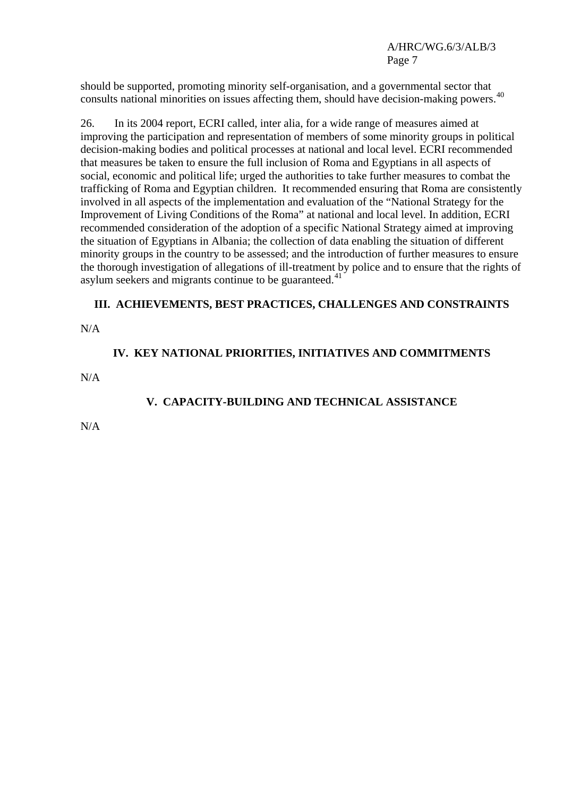should be supported, promoting minority self-organisation, and a governmental sector that consults national minorities on issues affecting them, should have decision-making powers.<sup>[40](#page-8-1)</sup>

26. In its 2004 report, ECRI called, inter alia, for a wide range of measures aimed at improving the participation and representation of members of some minority groups in political decision-making bodies and political processes at national and local level. ECRI recommended that measures be taken to ensure the full inclusion of Roma and Egyptians in all aspects of social, economic and political life; urged the authorities to take further measures to combat the trafficking of Roma and Egyptian children. It recommended ensuring that Roma are consistently involved in all aspects of the implementation and evaluation of the "National Strategy for the Improvement of Living Conditions of the Roma" at national and local level. In addition, ECRI recommended consideration of the adoption of a specific National Strategy aimed at improving the situation of Egyptians in Albania; the collection of data enabling the situation of different minority groups in the country to be assessed; and the introduction of further measures to ensure the thorough investigation of allegations of ill-treatment by police and to ensure that the rights of asylum seekers and migrants continue to be guaranteed. $41$ 

#### **III. ACHIEVEMENTS, BEST PRACTICES, CHALLENGES AND CONSTRAINTS**

N/A

#### **IV. KEY NATIONAL PRIORITIES, INITIATIVES AND COMMITMENTS**

N/A

# **V. CAPACITY-BUILDING AND TECHNICAL ASSISTANCE**

N/A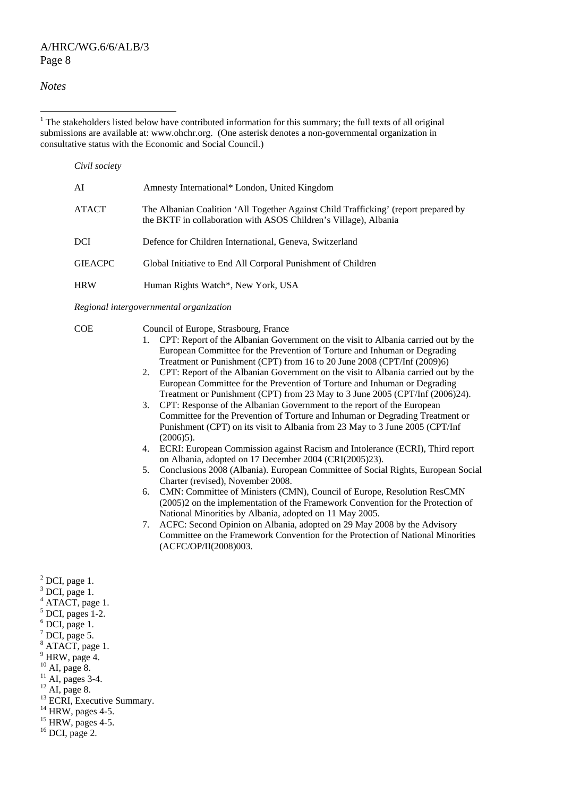#### A/HRC/WG.6/6/ALB/3 Page 8

#### *Notes*

 $\overline{a}$ 

 $1$ <sup>1</sup> The stakeholders listed below have contributed information for this summary; the full texts of all original submissions are available at: [www.ohchr.org.](http://www.ohchr.org/) (One asterisk denotes a non-governmental organization in consultative status with the Economic and Social Council.)

| Civil society  |                                                                                                                                                         |  |
|----------------|---------------------------------------------------------------------------------------------------------------------------------------------------------|--|
| AI             | Amnesty International* London, United Kingdom                                                                                                           |  |
| ATACT          | The Albanian Coalition 'All Together Against Child Trafficking' (report prepared by<br>the BKTF in collaboration with ASOS Children's Village), Albania |  |
| DCI            | Defence for Children International, Geneva, Switzerland                                                                                                 |  |
| <b>GIEACPC</b> | Global Initiative to End All Corporal Punishment of Children                                                                                            |  |
| <b>HRW</b>     | Human Rights Watch*, New York, USA                                                                                                                      |  |

*Regional intergovernmental organization* 

Council of Europe, Strasbourg, France

- 1. CPT: Report of the Albanian Government on the visit to Albania carried out by the European Committee for the Prevention of Torture and Inhuman or Degrading Treatment or Punishment (CPT) from 16 to 20 June 2008 (CPT/Inf (2009)6)
- 2. CPT: Report of the Albanian Government on the visit to Albania carried out by the European Committee for the Prevention of Torture and Inhuman or Degrading Treatment or Punishment (CPT) from 23 May to 3 June 2005 (CPT/Inf (2006)24).
- 3. CPT: Response of the Albanian Government to the report of the European Committee for the Prevention of Torture and Inhuman or Degrading Treatment or Punishment (CPT) on its visit to Albania from 23 May to 3 June 2005 (CPT/Inf  $(2006)5$
- 4. ECRI: European Commission against Racism and Intolerance (ECRI), Third report on Albania, adopted on 17 December 2004 (CRI(2005)23).
- 5. Conclusions 2008 (Albania). European Committee of Social Rights, European Social Charter (revised), November 2008.
- 6. CMN: Committee of Ministers (CMN), Council of Europe, Resolution ResCMN (2005)2 on the implementation of the Framework Convention for the Protection of National Minorities by Albania, adopted on 11 May 2005.
- 7. ACFC: Second Opinion on Albania, adopted on 29 May 2008 by the Advisory Committee on the Framework Convention for the Protection of National Minorities (ACFC/OP/II(2008)003.

 $<sup>2</sup>$  DCI, page 1.</sup>  $3$  DCI, page 1. <sup>4</sup> ATACT, page 1.  $<sup>5</sup>$  DCI, pages 1-2.</sup>  $6$  DCI, page 1.  $7$  DCI, page 5. <sup>8</sup> ATACT, page 1.  $9$  HRW, page 4.  $10$  AI, page 8.  $11$  AI, pages 3-4.

 $12$  AI, page 8.

<sup>13</sup> ECRI, Executive Summary.<br><sup>14</sup> HRW, pages 4-5.

 $15$  HRW, pages 4-5.

 $16$  DCI, page 2.